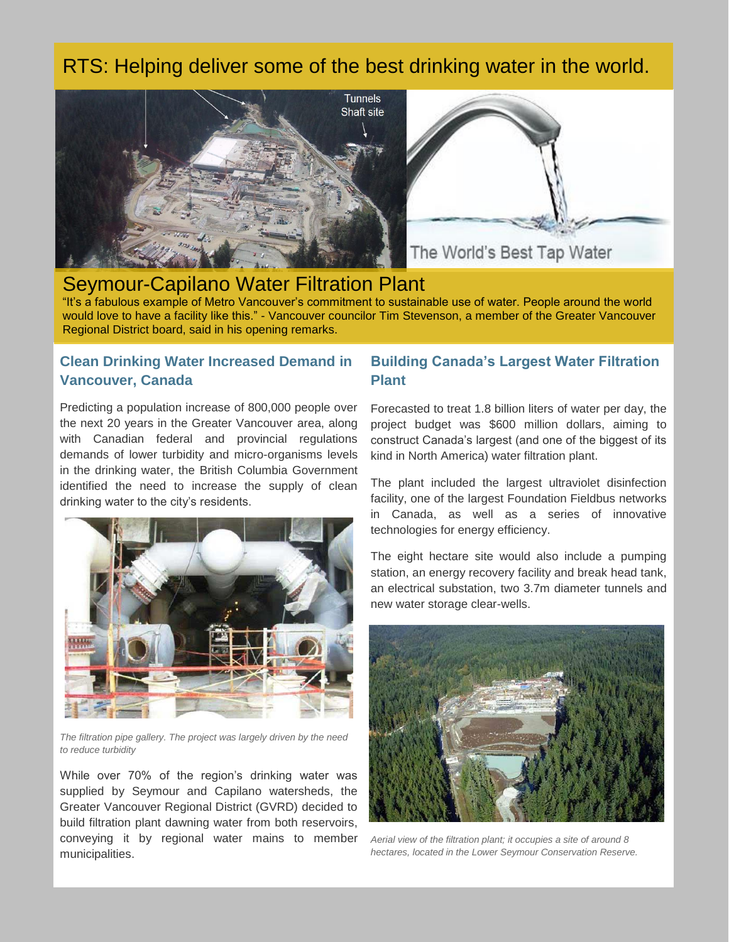# RTS: Helping deliver some of the best drinking water in the world.



# Seymour-Capilano Water Filtration Plant

"It's a fabulous example of Metro Vancouver's commitment to sustainable use of water. People around the world would love to have a facility like this." - Vancouver councilor Tim Stevenson, a member of the Greater Vancouver Regional District board, said in his opening remarks.

### **Clean Drinking Water Increased Demand in Vancouver, Canada**

Predicting a population increase of 800,000 people over the next 20 years in the Greater Vancouver area, along with Canadian federal and provincial regulations demands of lower turbidity and micro-organisms levels in the drinking water, the British Columbia Government identified the need to increase the supply of clean drinking water to the city's residents.



*The filtration pipe gallery. The project was largely driven by the need to reduce turbidity*

While over 70% of the region's drinking water was supplied by Seymour and Capilano watersheds, the Greater Vancouver Regional District (GVRD) decided to build filtration plant dawning water from both reservoirs, conveying it by regional water mains to member municipalities.

### **Building Canada's Largest Water Filtration Plant**

Forecasted to treat 1.8 billion liters of water per day, the project budget was \$600 million dollars, aiming to construct Canada's largest (and one of the biggest of its kind in North America) water filtration plant.

The plant included the largest ultraviolet disinfection facility, one of the largest Foundation Fieldbus networks in Canada, as well as a series of innovative technologies for energy efficiency.

The eight hectare site would also include a pumping station, an energy recovery facility and break head tank, an electrical substation, two 3.7m diameter tunnels and new water storage clear-wells.



*Aerial view of the filtration plant; it occupies a site of around 8 hectares, located in the Lower Seymour Conservation Reserve.*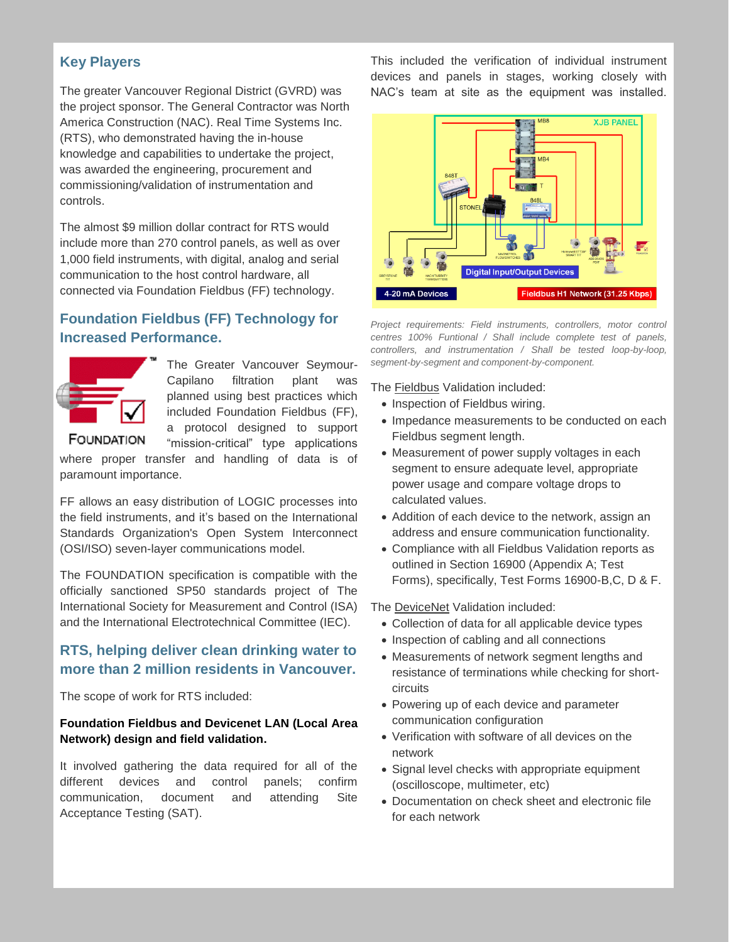## **Key Players**

The greater Vancouver Regional District (GVRD) was the project sponsor. The General Contractor was North America Construction (NAC). Real Time Systems Inc. (RTS), who demonstrated having the in-house knowledge and capabilities to undertake the project, was awarded the engineering, procurement and commissioning/validation of instrumentation and controls.

The almost \$9 million dollar contract for RTS would include more than 270 control panels, as well as over 1,000 field instruments, with digital, analog and serial communication to the host control hardware, all connected via Foundation Fieldbus (FF) technology.

# **Foundation Fieldbus (FF) Technology for Increased Performance.**



The Greater Vancouver Seymour-Capilano filtration plant was planned using best practices which included Foundation Fieldbus (FF), a protocol designed to support "mission-critical" type applications

**FOUNDATION** 

where proper transfer and handling of data is of paramount importance.

FF allows an easy distribution of LOGIC processes into the field instruments, and it's based on the International Standards Organization's Open System Interconnect (OSI/ISO) seven-layer communications model.

The FOUNDATION specification is compatible with the officially sanctioned SP50 standards project of The International Society for Measurement and Control (ISA) and the International Electrotechnical Committee (IEC).

## **RTS, helping deliver clean drinking water to more than 2 million residents in Vancouver.**

The scope of work for RTS included:

#### **Foundation Fieldbus and Devicenet LAN (Local Area Network) design and field validation.**

It involved gathering the data required for all of the different devices and control panels; confirm communication, document and attending Site Acceptance Testing (SAT).

This included the verification of individual instrument devices and panels in stages, working closely with NAC's team at site as the equipment was installed.



*Project requirements: Field instruments, controllers, motor control centres 100% Funtional / Shall include complete test of panels, controllers, and instrumentation / Shall be tested loop-by-loop, segment-by-segment and component-by-component.*

The Fieldbus Validation included:

- Inspection of Fieldbus wiring.
- Impedance measurements to be conducted on each Fieldbus segment length.
- Measurement of power supply voltages in each segment to ensure adequate level, appropriate power usage and compare voltage drops to calculated values.
- Addition of each device to the network, assign an address and ensure communication functionality.
- Compliance with all Fieldbus Validation reports as outlined in Section 16900 (Appendix A; Test Forms), specifically, Test Forms 16900-B,C, D & F.

The DeviceNet Validation included:

- Collection of data for all applicable device types
- Inspection of cabling and all connections
- Measurements of network segment lengths and resistance of terminations while checking for shortcircuits
- Powering up of each device and parameter communication configuration
- Verification with software of all devices on the network
- Signal level checks with appropriate equipment (oscilloscope, multimeter, etc)
- Documentation on check sheet and electronic file for each network